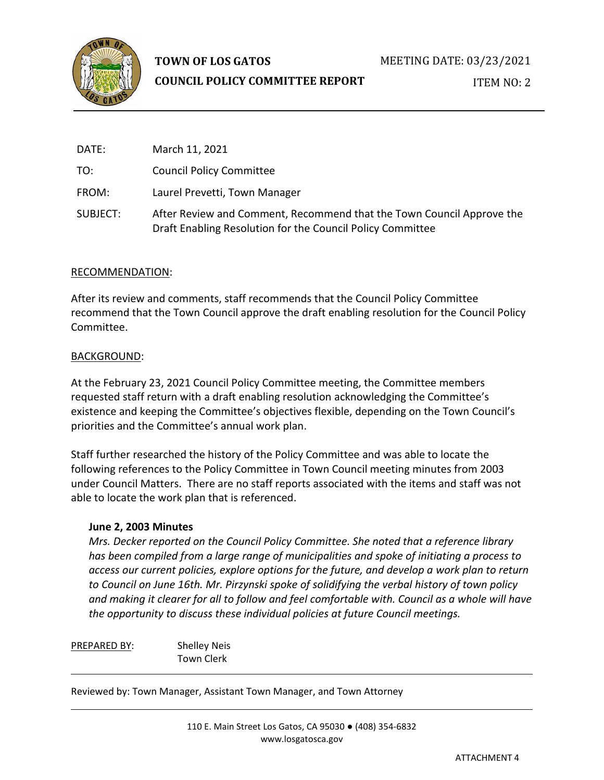

# **TOWN OF LOS GATOS**

# **COUNCIL POLICY COMMITTEE REPORT**

ITEM NO: 2

| DATE:    | March 11, 2021                                                                                                                      |
|----------|-------------------------------------------------------------------------------------------------------------------------------------|
| TO:      | <b>Council Policy Committee</b>                                                                                                     |
| FROM:    | Laurel Prevetti, Town Manager                                                                                                       |
| SUBJECT: | After Review and Comment, Recommend that the Town Council Approve the<br>Draft Enabling Resolution for the Council Policy Committee |

# RECOMMENDATION:

After its review and comments, staff recommends that the Council Policy Committee recommend that the Town Council approve the draft enabling resolution for the Council Policy Committee.

#### BACKGROUND:

At the February 23, 2021 Council Policy Committee meeting, the Committee members requested staff return with a draft enabling resolution acknowledging the Committee's existence and keeping the Committee's objectives flexible, depending on the Town Council's priorities and the Committee's annual work plan.

Staff further researched the history of the Policy Committee and was able to locate the following references to the Policy Committee in Town Council meeting minutes from 2003 under Council Matters. There are no staff reports associated with the items and staff was not able to locate the work plan that is referenced.

# **June 2, 2003 Minutes**

*Mrs. Decker reported on the Council Policy Committee. She noted that a reference library has been compiled from a large range of municipalities and spoke of initiating a process to access our current policies, explore options for the future, and develop a work plan to return to Council on June 16th. Mr. Pirzynski spoke of solidifying the verbal history of town policy and making it clearer for all to follow and feel comfortable with. Council as a whole will have the opportunity to discuss these individual policies at future Council meetings.*

PREPARED BY: Shelley Neis Town Clerk

Reviewed by: Town Manager, Assistant Town Manager, and Town Attorney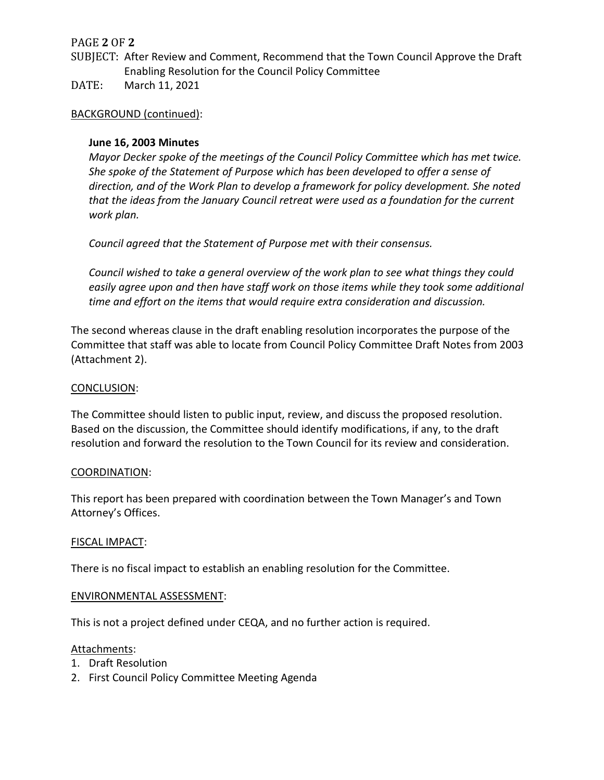# PAGE **2** OF **2**

- SUBJECT: After Review and Comment, Recommend that the Town Council Approve the Draft Enabling Resolution for the Council Policy Committee
- DATE: March 11, 2021

# BACKGROUND (continued):

# **June 16, 2003 Minutes**

*Mayor Decker spoke of the meetings of the Council Policy Committee which has met twice. She spoke of the Statement of Purpose which has been developed to offer a sense of direction, and of the Work Plan to develop a framework for policy development. She noted that the ideas from the January Council retreat were used as a foundation for the current work plan.*

*Council agreed that the Statement of Purpose met with their consensus.*

*Council wished to take a general overview of the work plan to see what things they could easily agree upon and then have staff work on those items while they took some additional time and effort on the items that would require extra consideration and discussion.*

The second whereas clause in the draft enabling resolution incorporates the purpose of the Committee that staff was able to locate from Council Policy Committee Draft Notes from 2003 (Attachment 2).

#### CONCLUSION:

The Committee should listen to public input, review, and discuss the proposed resolution. Based on the discussion, the Committee should identify modifications, if any, to the draft resolution and forward the resolution to the Town Council for its review and consideration.

#### COORDINATION:

This report has been prepared with coordination between the Town Manager's and Town Attorney's Offices.

#### FISCAL IMPACT:

There is no fiscal impact to establish an enabling resolution for the Committee.

#### ENVIRONMENTAL ASSESSMENT:

This is not a project defined under CEQA, and no further action is required.

#### Attachments:

- 1. Draft Resolution
- 2. First Council Policy Committee Meeting Agenda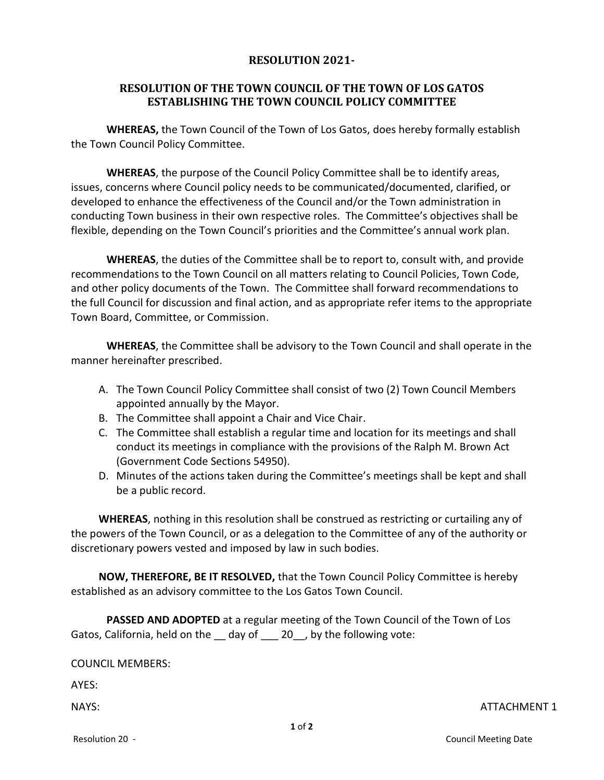# **RESOLUTION 2021-**

# **RESOLUTION OF THE TOWN COUNCIL OF THE TOWN OF LOS GATOS ESTABLISHING THE TOWN COUNCIL POLICY COMMITTEE**

**WHEREAS,** the Town Council of the Town of Los Gatos, does hereby formally establish the Town Council Policy Committee.

**WHEREAS**, the purpose of the Council Policy Committee shall be to identify areas, issues, concerns where Council policy needs to be communicated/documented, clarified, or developed to enhance the effectiveness of the Council and/or the Town administration in conducting Town business in their own respective roles. The Committee's objectives shall be flexible, depending on the Town Council's priorities and the Committee's annual work plan.

**WHEREAS**, the duties of the Committee shall be to report to, consult with, and provide recommendations to the Town Council on all matters relating to Council Policies, Town Code, and other policy documents of the Town. The Committee shall forward recommendations to the full Council for discussion and final action, and as appropriate refer items to the appropriate Town Board, Committee, or Commission.

**WHEREAS**, the Committee shall be advisory to the Town Council and shall operate in the manner hereinafter prescribed.

- A. The Town Council Policy Committee shall consist of two (2) Town Council Members appointed annually by the Mayor.
- B. The Committee shall appoint a Chair and Vice Chair.
- C. The Committee shall establish a regular time and location for its meetings and shall conduct its meetings in compliance with the provisions of the Ralph M. Brown Act (Government Code Sections 54950).
- D. Minutes of the actions taken during the Committee's meetings shall be kept and shall be a public record.

**WHEREAS**, nothing in this resolution shall be construed as restricting or curtailing any of the powers of the Town Council, or as a delegation to the Committee of any of the authority or discretionary powers vested and imposed by law in such bodies.

**NOW, THEREFORE, BE IT RESOLVED,** that the Town Council Policy Committee is hereby established as an advisory committee to the Los Gatos Town Council.

**PASSED AND ADOPTED** at a regular meeting of the Town Council of the Town of Los Gatos, California, held on the day of 20, by the following vote:

COUNCIL MEMBERS:

AYES:

NAYS: ATTACHMENT 1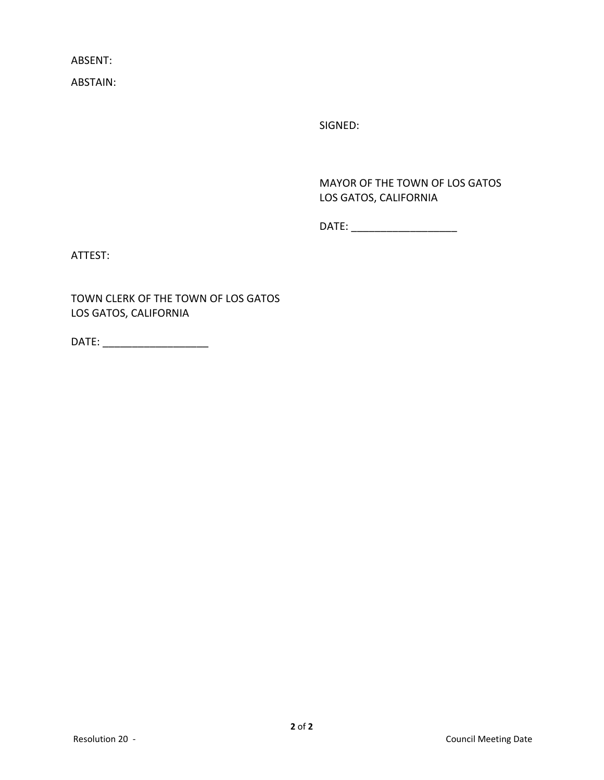ABSENT:

ABSTAIN:

SIGNED:

MAYOR OF THE TOWN OF LOS GATOS LOS GATOS, CALIFORNIA

DATE: \_\_\_\_\_\_\_\_\_\_\_\_\_\_\_\_\_\_

ATTEST:

TOWN CLERK OF THE TOWN OF LOS GATOS LOS GATOS, CALIFORNIA

DATE: \_\_\_\_\_\_\_\_\_\_\_\_\_\_\_\_\_\_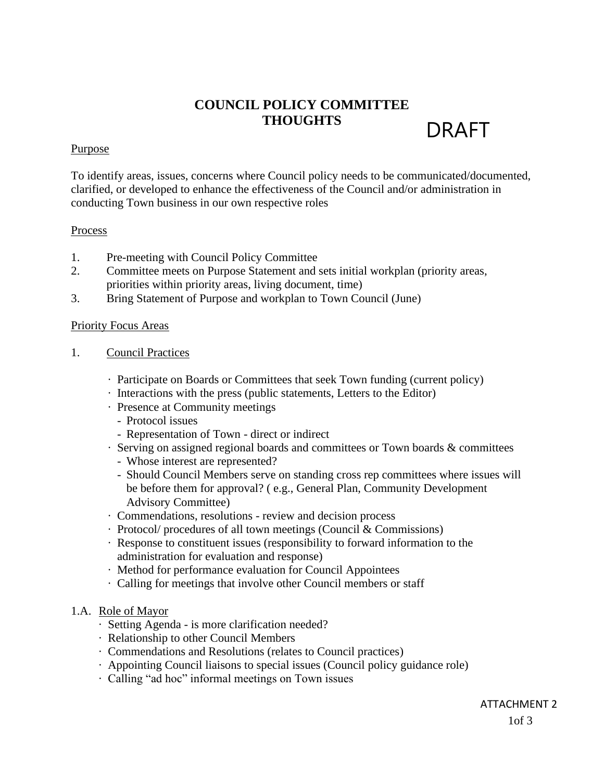# DRAFT **COUNCIL POLICY COMMITTEE THOUGHTS**

#### **Purpose**

To identify areas, issues, concerns where Council policy needs to be communicated/documented, clarified, or developed to enhance the effectiveness of the Council and/or administration in conducting Town business in our own respective roles

#### **Process**

- 1. Pre-meeting with Council Policy Committee
- 2. Committee meets on Purpose Statement and sets initial workplan (priority areas, priorities within priority areas, living document, time)
- 3. Bring Statement of Purpose and workplan to Town Council (June)

#### Priority Focus Areas

- 1. Council Practices
	- · Participate on Boards or Committees that seek Town funding (current policy)
	- · Interactions with the press (public statements, Letters to the Editor)
	- · Presence at Community meetings
		- Protocol issues
		- Representation of Town direct or indirect
	- · Serving on assigned regional boards and committees or Town boards & committees
		- Whose interest are represented?
		- Should Council Members serve on standing cross rep committees where issues will be before them for approval? ( e.g., General Plan, Community Development Advisory Committee)
	- · Commendations, resolutions review and decision process
	- · Protocol/ procedures of all town meetings (Council & Commissions)
	- · Response to constituent issues (responsibility to forward information to the administration for evaluation and response)
	- · Method for performance evaluation for Council Appointees
	- · Calling for meetings that involve other Council members or staff

#### 1.A. Role of Mayor

- · Setting Agenda is more clarification needed?
- · Relationship to other Council Members
- · Commendations and Resolutions (relates to Council practices)
- · Appointing Council liaisons to special issues (Council policy guidance role)
- · Calling "ad hoc" informal meetings on Town issues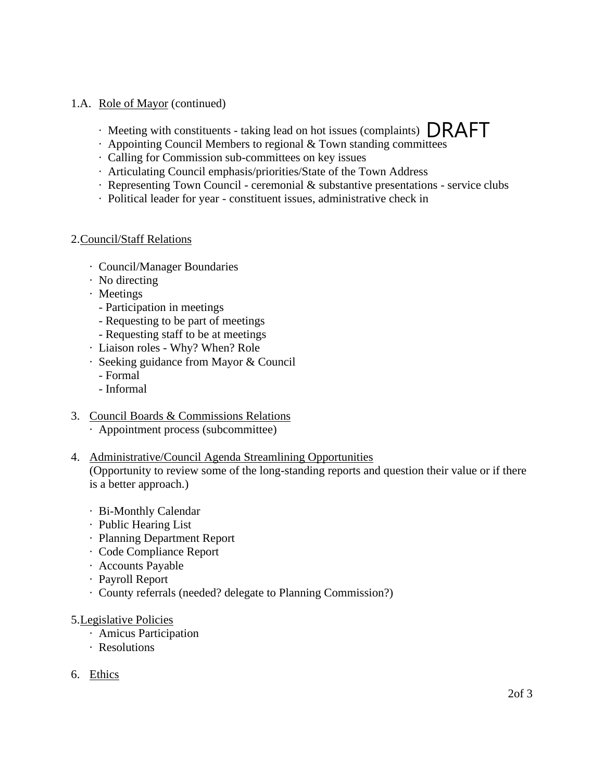- 1.A. Role of Mayor (continued)
	- $\cdot$  Meeting with constituents taking lead on hot issues (complaints)  $\Box$ RAFT
	- · Appointing Council Members to regional & Town standing committees
	- · Calling for Commission sub-committees on key issues
	- · Articulating Council emphasis/priorities/State of the Town Address
	- · Representing Town Council ceremonial & substantive presentations service clubs
	- · Political leader for year constituent issues, administrative check in

# 2.Council/Staff Relations

- · Council/Manager Boundaries
- · No directing
- · Meetings
	- Participation in meetings
	- Requesting to be part of meetings
	- Requesting staff to be at meetings
- · Liaison roles Why? When? Role
- · Seeking guidance from Mayor & Council
	- Formal
	- Informal
- 3. Council Boards & Commissions Relations
	- · Appointment process (subcommittee)
- 4. Administrative/Council Agenda Streamlining Opportunities (Opportunity to review some of the long-standing reports and question their value or if there is a better approach.)
	- · Bi-Monthly Calendar
	- · Public Hearing List
	- · Planning Department Report
	- · Code Compliance Report
	- · Accounts Payable
	- · Payroll Report
	- · County referrals (needed? delegate to Planning Commission?)

# 5.Legislative Policies

- · Amicus Participation
- · Resolutions
- 6. Ethics